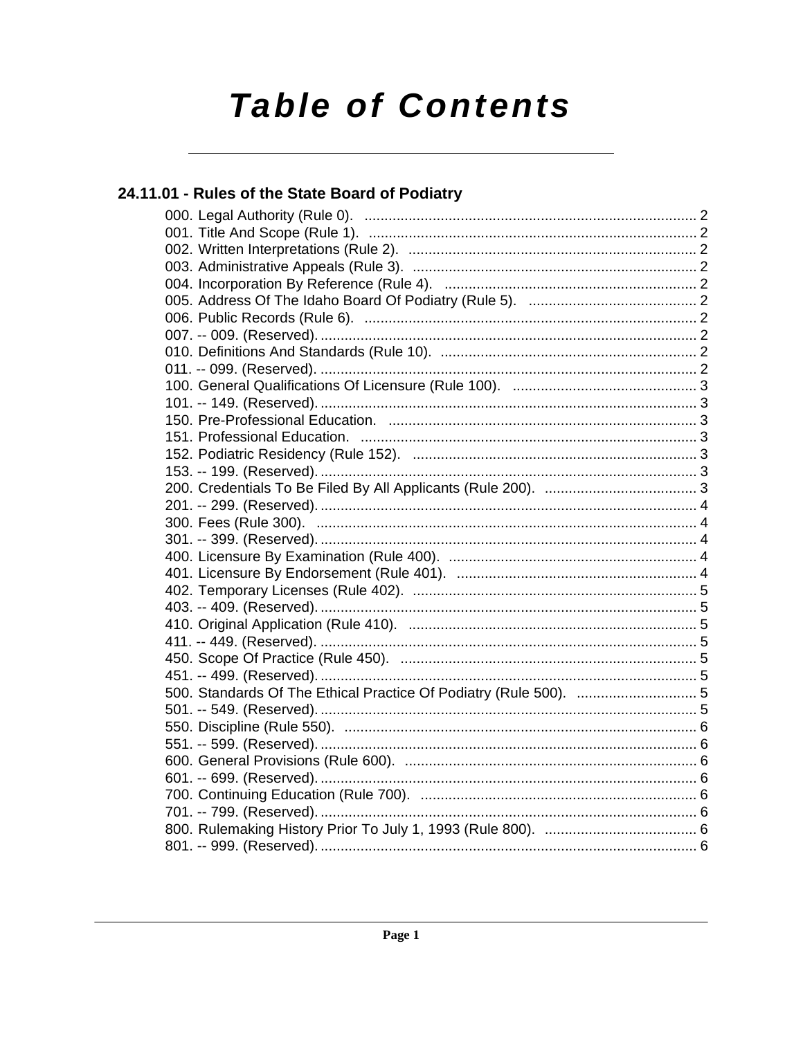# **Table of Contents**

### 24.11.01 - Rules of the State Board of Podiatry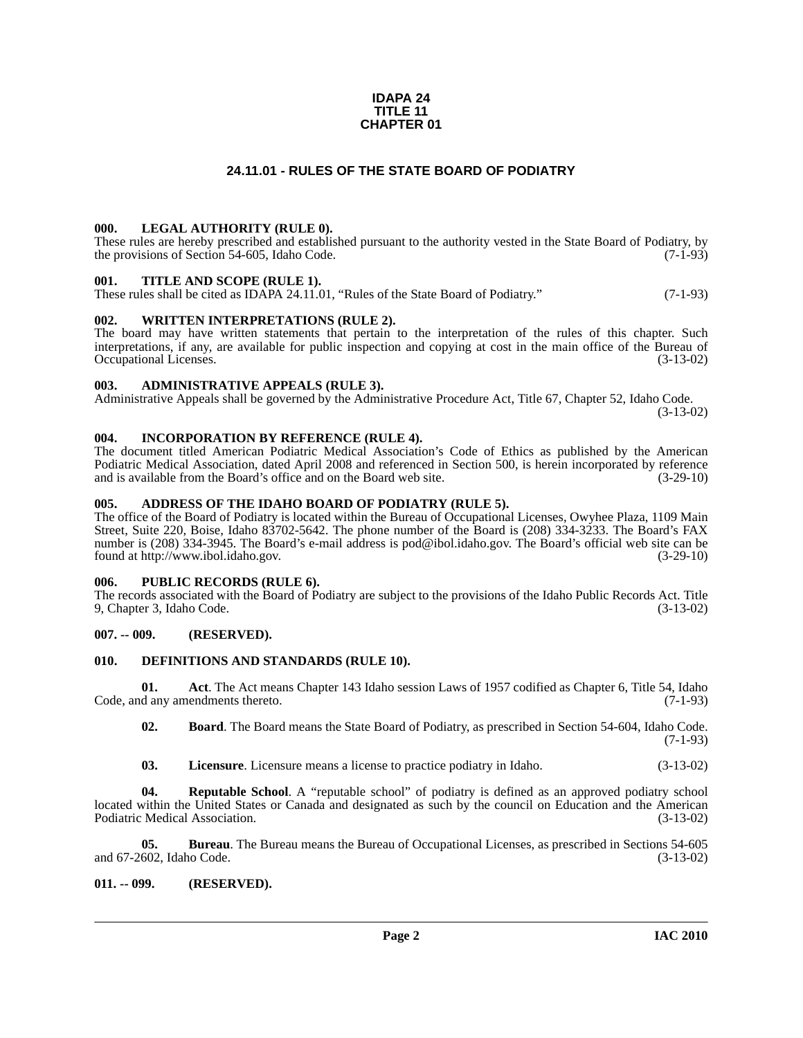#### **IDAPA 24 TITLE 11 CHAPTER 01**

### **24.11.01 - RULES OF THE STATE BOARD OF PODIATRY**

#### <span id="page-1-1"></span><span id="page-1-0"></span>**000. LEGAL AUTHORITY (RULE 0).**

These rules are hereby prescribed and established pursuant to the authority vested in the State Board of Podiatry, by the provisions of Section 54-605, Idaho Code. (7-1-93)

#### <span id="page-1-2"></span>**001. TITLE AND SCOPE (RULE 1).**

These rules shall be cited as IDAPA 24.11.01, "Rules of the State Board of Podiatry." (7-1-93)

#### <span id="page-1-3"></span>**002. WRITTEN INTERPRETATIONS (RULE 2).**

The board may have written statements that pertain to the interpretation of the rules of this chapter. Such interpretations, if any, are available for public inspection and copying at cost in the main office of the Bureau of Occupational Licenses. (3-13-02) Occupational Licenses.

#### <span id="page-1-4"></span>**003. ADMINISTRATIVE APPEALS (RULE 3).**

Administrative Appeals shall be governed by the Administrative Procedure Act, Title 67, Chapter 52, Idaho Code.

(3-13-02)

#### <span id="page-1-5"></span>**004. INCORPORATION BY REFERENCE (RULE 4).**

The document titled American Podiatric Medical Association's Code of Ethics as published by the American Podiatric Medical Association, dated April 2008 and referenced in Section 500, is herein incorporated by reference and is available from the Board's office and on the Board web site. (3-29-10)

#### <span id="page-1-6"></span>**005. ADDRESS OF THE IDAHO BOARD OF PODIATRY (RULE 5).**

[The office of the Board of Podiatry is located within the Bureau of Occupational Licenses, Owyhee Plaza, 1109 Main](mailto:pod@ibol.idaho.gov) Street, Suite 220, Boise, Idaho 83702-5642. The phone number of the Board is (208) 334-3233. The Board's FAX number is (208) 334-3945. The Board's e-mail address is pod@ibol.idaho.gov. The Board's official web site can be [found at](mailto:pod@ibol.idaho.gov) [http://www.ibol.idaho.gov. \(3-29-10\)](http://www.ibol.idaho.gov)

### <span id="page-1-7"></span>**006. PUBLIC RECORDS (RULE 6).**

The records associated with the Board of Podiatry are subject to the provisions of the Idaho Public Records Act. Title 9, Chapter 3, Idaho Code. (3-13-02)

### <span id="page-1-8"></span>**007. -- 009. (RESERVED).**

#### <span id="page-1-12"></span><span id="page-1-9"></span>**010. DEFINITIONS AND STANDARDS (RULE 10).**

**01.** Act. The Act means Chapter 143 Idaho session Laws of 1957 codified as Chapter 6, Title 54, Idaho d any amendments thereto. (7-1-93) Code, and any amendments thereto.

<span id="page-1-11"></span>**02. Board**. The Board means the State Board of Podiatry, as prescribed in Section 54-604, Idaho Code.  $(7-1-93)$ 

<span id="page-1-14"></span><span id="page-1-13"></span>**03. Licensure**. Licensure means a license to practice podiatry in Idaho. (3-13-02)

**04. Reputable School**. A "reputable school" of podiatry is defined as an approved podiatry school located within the United States or Canada and designated as such by the council on Education and the American Podiatric Medical Association. (3-13-02)

**05. Bureau**. The Bureau means the Bureau of Occupational Licenses, as prescribed in Sections 54-605 (602, Idaho Code. (3-13-02) and 67-2602, Idaho Code.

#### <span id="page-1-10"></span>**011. -- 099. (RESERVED).**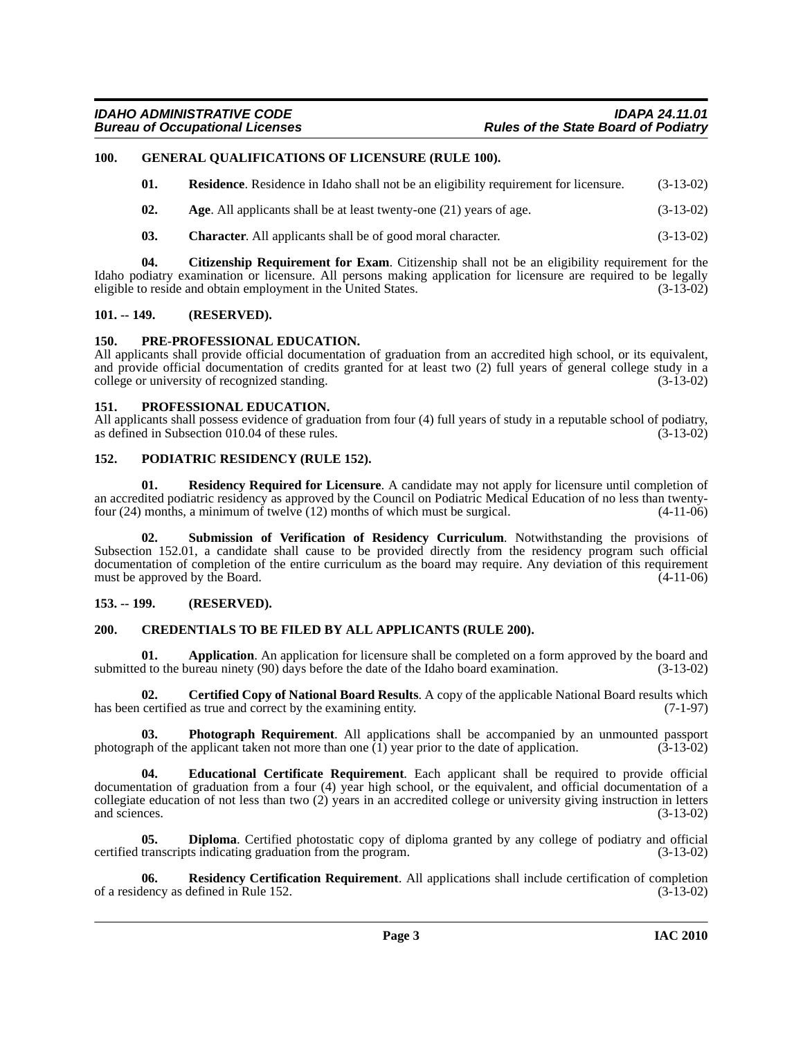### <span id="page-2-0"></span>**100. GENERAL QUALIFICATIONS OF LICENSURE (RULE 100).**

<span id="page-2-20"></span><span id="page-2-15"></span>

| 01.<br><b>Residence.</b> Residence in Idaho shall not be an eligibility requirement for licensure. | $(3-13-02)$ |
|----------------------------------------------------------------------------------------------------|-------------|
|----------------------------------------------------------------------------------------------------|-------------|

- <span id="page-2-7"></span>**02.** Age. All applicants shall be at least twenty-one (21) years of age.  $(3-13-02)$
- <span id="page-2-11"></span><span id="page-2-10"></span>**03. Character**. All applicants shall be of good moral character. (3-13-02)

**04. Citizenship Requirement for Exam**. Citizenship shall not be an eligibility requirement for the Idaho podiatry examination or licensure. All persons making application for licensure are required to be legally eligible to reside and obtain employment in the United States. (3-13-02) eligible to reside and obtain employment in the United States.

#### <span id="page-2-1"></span>**101. -- 149. (RESERVED).**

#### <span id="page-2-18"></span><span id="page-2-2"></span>**150. PRE-PROFESSIONAL EDUCATION.**

All applicants shall provide official documentation of graduation from an accredited high school, or its equivalent, and provide official documentation of credits granted for at least two (2) full years of general college study in a college or university of recognized standing. (3-13-02)

#### <span id="page-2-19"></span><span id="page-2-3"></span>**151. PROFESSIONAL EDUCATION.**

All applicants shall possess evidence of graduation from four (4) full years of study in a reputable school of podiatry, as defined in Subsection 010.04 of these rules. (3-13-02) as defined in Subsection 010.04 of these rules.

#### <span id="page-2-17"></span><span id="page-2-4"></span>**152. PODIATRIC RESIDENCY (RULE 152).**

<span id="page-2-22"></span>**01. Residency Required for Licensure**. A candidate may not apply for licensure until completion of an accredited podiatric residency as approved by the Council on Podiatric Medical Education of no less than twenty-<br>four (24) months, a minimum of twelve (12) months of which must be surgical. (4-11-06) four  $(24)$  months, a minimum of twelve  $(12)$  months of which must be surgical.

<span id="page-2-23"></span>**02. Submission of Verification of Residency Curriculum**. Notwithstanding the provisions of Subsection 152.01, a candidate shall cause to be provided directly from the residency program such official documentation of completion of the entire curriculum as the board may require. Any deviation of this requirement must be approved by the Board. (4-11-06)

#### <span id="page-2-5"></span>**153. -- 199. (RESERVED).**

#### <span id="page-2-12"></span><span id="page-2-6"></span>**200. CREDENTIALS TO BE FILED BY ALL APPLICANTS (RULE 200).**

<span id="page-2-8"></span>**01. Application**. An application for licensure shall be completed on a form approved by the board and d to the bureau ninety (90) days before the date of the Idaho board examination. (3-13-02) submitted to the bureau ninety  $(90)$  days before the date of the Idaho board examination.

<span id="page-2-9"></span>**02. Certified Copy of National Board Results**. A copy of the applicable National Board results which has been certified as true and correct by the examining entity. (7-1-97)

<span id="page-2-16"></span>**03. Photograph Requirement**. All applications shall be accompanied by an unmounted passport of the applicant taken not more than one (1) year prior to the date of application. (3-13-02) photograph of the applicant taken not more than one  $\overline{(1)}$  year prior to the date of application.

<span id="page-2-14"></span>**04. Educational Certificate Requirement**. Each applicant shall be required to provide official documentation of graduation from a four (4) year high school, or the equivalent, and official documentation of a collegiate education of not less than two (2) years in an accredited college or university giving instruction in letters and sciences.  $(3-13-02)$ 

<span id="page-2-13"></span>**05. Diploma**. Certified photostatic copy of diploma granted by any college of podiatry and official certified transcripts indicating graduation from the program. (3-13-02)

<span id="page-2-21"></span>**06. Residency Certification Requirement**. All applications shall include certification of completion of a residency as defined in Rule 152. (3-13-02)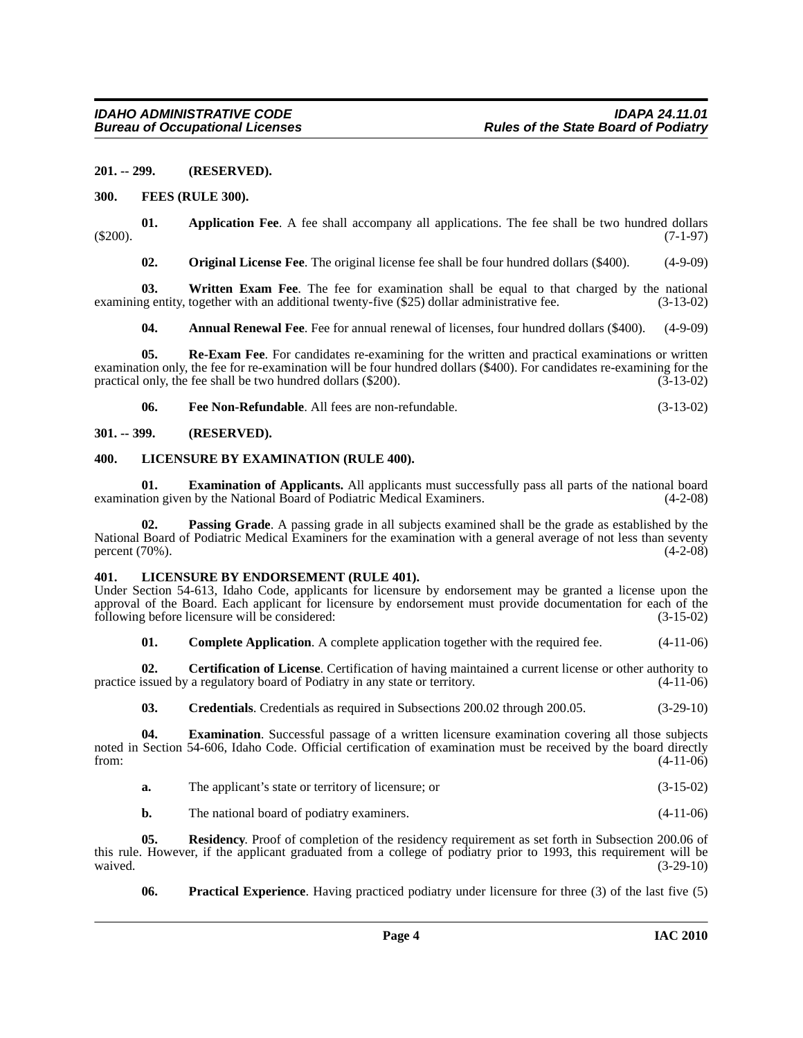#### <span id="page-3-0"></span>**201. -- 299. (RESERVED).**

#### <span id="page-3-12"></span><span id="page-3-1"></span>**300. FEES (RULE 300).**

**01.** Application Fee. A fee shall accompany all applications. The fee shall be two hundred dollars (7-1-97) (\$200). (7-1-97)

<span id="page-3-20"></span><span id="page-3-15"></span><span id="page-3-6"></span>**02. Original License Fee**. The original license fee shall be four hundred dollars (\$400). (4-9-09)

**03. Written Exam Fee**. The fee for examination shall be equal to that charged by the national examining entity, together with an additional twenty-five (\$25) dollar administrative fee. (3-13-02)

<span id="page-3-18"></span><span id="page-3-5"></span>**04. Annual Renewal Fee**. Fee for annual renewal of licenses, four hundred dollars (\$400). (4-9-09)

**05.** Re-Exam Fee. For candidates re-examining for the written and practical examinations or written examination only, the fee for re-examination will be four hundred dollars (\$400). For candidates re-examining for the practical only, the fee shall be two hundred dollars  $(\$200)$ .  $(\bar{3}-13-02)$ 

<span id="page-3-14"></span><span id="page-3-11"></span>**06. Fee Non-Refundable**. All fees are non-refundable. (3-13-02)

#### <span id="page-3-2"></span>**301. -- 399. (RESERVED).**

#### <span id="page-3-3"></span>**400. LICENSURE BY EXAMINATION (RULE 400).**

**01. Examination of Applicants.** All applicants must successfully pass all parts of the national board examination given by the National Board of Podiatric Medical Examiners. (4-2-08)

<span id="page-3-16"></span>**02. Passing Grade**. A passing grade in all subjects examined shall be the grade as established by the National Board of Podiatric Medical Examiners for the examination with a general average of not less than seventy percent (70%). (4-2-08) percent  $(70%)$ .

#### <span id="page-3-13"></span><span id="page-3-4"></span>**401. LICENSURE BY ENDORSEMENT (RULE 401).**

Under Section 54-613, Idaho Code, applicants for licensure by endorsement may be granted a license upon the approval of the Board. Each applicant for licensure by endorsement must provide documentation for each of the following before licensure will be considered: (3-15-02)

<span id="page-3-8"></span><span id="page-3-7"></span>**01. Complete Application**. A complete application together with the required fee.  $(4-11-06)$ 

**02. Certification of License**. Certification of having maintained a current license or other authority to practice issued by a regulatory board of Podiatry in any state or territory. (4-11-06)

<span id="page-3-10"></span><span id="page-3-9"></span>**03. Credentials**. Credentials as required in Subsections 200.02 through 200.05. (3-29-10)

**04. Examination**. Successful passage of a written licensure examination covering all those subjects noted in Section 54-606, Idaho Code. Official certification of examination must be received by the board directly from: (4-11-06)

| The applicant's state or territory of licensure; or | $(3-15-02)$ |
|-----------------------------------------------------|-------------|
|                                                     |             |

<span id="page-3-19"></span>**b.** The national board of podiatry examiners. (4-11-06)

**05.** Residency. Proof of completion of the residency requirement as set forth in Subsection 200.06 of this rule. However, if the applicant graduated from a college of podiatry prior to 1993, this requirement will be waived. (3-29-10) waived.  $(3-29-10)$ 

<span id="page-3-17"></span>**06. Practical Experience**. Having practiced podiatry under licensure for three (3) of the last five (5)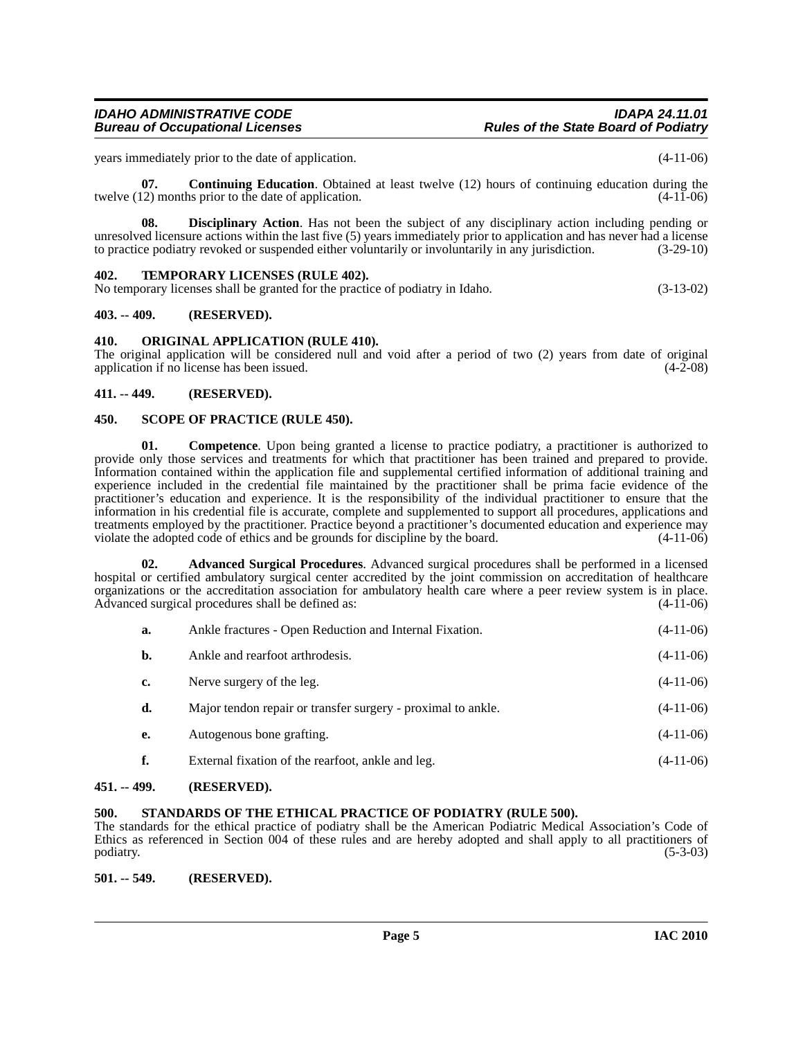years immediately prior to the date of application. (4-11-06)

<span id="page-4-10"></span>**07. Continuing Education**. Obtained at least twelve (12) hours of continuing education during the twelve (12) months prior to the date of application. (4-11-06)

<span id="page-4-11"></span>**08. Disciplinary Action**. Has not been the subject of any disciplinary action including pending or unresolved licensure actions within the last five (5) years immediately prior to application and has never had a license to practice podiatry revoked or suspended either voluntarily or involuntarily in any jurisdiction. (3-29-10)

#### <span id="page-4-15"></span><span id="page-4-0"></span>**402. TEMPORARY LICENSES (RULE 402).**

No temporary licenses shall be granted for the practice of podiatry in Idaho. (3-13-02)

#### <span id="page-4-1"></span>**403. -- 409. (RESERVED).**

#### <span id="page-4-12"></span><span id="page-4-2"></span>**410. ORIGINAL APPLICATION (RULE 410).**

The original application will be considered null and void after a period of two (2) years from date of original application if no license has been issued. (4-2-08) application if no license has been issued.

#### <span id="page-4-3"></span>**411. -- 449. (RESERVED).**

#### <span id="page-4-13"></span><span id="page-4-4"></span>**450. SCOPE OF PRACTICE (RULE 450).**

<span id="page-4-9"></span>**01.** Competence. Upon being granted a license to practice podiatry, a practitioner is authorized to provide only those services and treatments for which that practitioner has been trained and prepared to provide. Information contained within the application file and supplemental certified information of additional training and experience included in the credential file maintained by the practitioner shall be prima facie evidence of the practitioner's education and experience. It is the responsibility of the individual practitioner to ensure that the information in his credential file is accurate, complete and supplemented to support all procedures, applications and treatments employed by the practitioner. Practice beyond a practitioner's documented education and experience may violate the adopted code of ethics and be grounds for discipline by the board. (4-11-06)

**02. Advanced Surgical Procedures**. Advanced surgical procedures shall be performed in a licensed hospital or certified ambulatory surgical center accredited by the joint commission on accreditation of healthcare organizations or the accreditation association for ambulatory health care where a peer review system is in place.<br>Advanced surgical procedures shall be defined as: (4-11-06) Advanced surgical procedures shall be defined as:

<span id="page-4-8"></span>

| a. | Ankle fractures - Open Reduction and Internal Fixation.      | $(4-11-06)$ |
|----|--------------------------------------------------------------|-------------|
| b. | Ankle and rearfoot arthrodesis.                              | $(4-11-06)$ |
| c. | Nerve surgery of the leg.                                    | $(4-11-06)$ |
| d. | Major tendon repair or transfer surgery - proximal to ankle. | $(4-11-06)$ |
| e. | Autogenous bone grafting.                                    | $(4-11-06)$ |
| f. | External fixation of the rearfoot, ankle and leg.            | $(4-11-06)$ |
|    |                                                              |             |

#### <span id="page-4-5"></span>**451. -- 499. (RESERVED).**

#### <span id="page-4-14"></span><span id="page-4-6"></span>**500. STANDARDS OF THE ETHICAL PRACTICE OF PODIATRY (RULE 500).**

The standards for the ethical practice of podiatry shall be the American Podiatric Medical Association's Code of Ethics as referenced in Section 004 of these rules and are hereby adopted and shall apply to all practitioners of  $\mu$  podiatry. (5-3-03)

#### <span id="page-4-7"></span>**501. -- 549. (RESERVED).**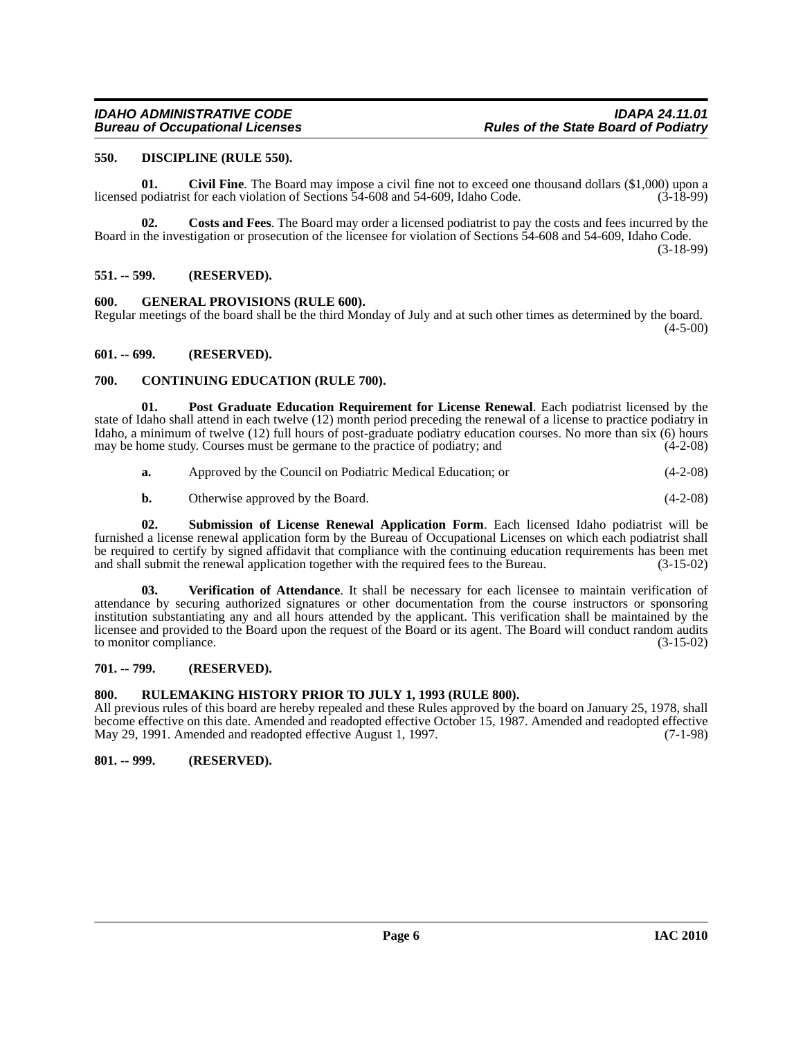#### <span id="page-5-11"></span><span id="page-5-0"></span>**550. DISCIPLINE (RULE 550).**

<span id="page-5-8"></span>**01.** Civil Fine. The Board may impose a civil fine not to exceed one thousand dollars (\$1,000) upon a podiatrist for each violation of Sections 54-608 and 54-609. Idaho Code. (3-18-99) licensed podiatrist for each violation of Sections 54-608 and 54-609, Idaho Code.

<span id="page-5-10"></span>**02. Costs and Fees**. The Board may order a licensed podiatrist to pay the costs and fees incurred by the Board in the investigation or prosecution of the licensee for violation of Sections 54-608 and 54-609, Idaho Code. (3-18-99)

<span id="page-5-1"></span>**551. -- 599. (RESERVED).**

#### <span id="page-5-12"></span><span id="page-5-2"></span>**600. GENERAL PROVISIONS (RULE 600).**

Regular meetings of the board shall be the third Monday of July and at such other times as determined by the board.  $(4-5-00)$ 

#### <span id="page-5-3"></span>**601. -- 699. (RESERVED).**

#### <span id="page-5-9"></span><span id="page-5-4"></span>**700. CONTINUING EDUCATION (RULE 700).**

**01. Post Graduate Education Requirement for License Renewal**. Each podiatrist licensed by the state of Idaho shall attend in each twelve (12) month period preceding the renewal of a license to practice podiatry in Idaho, a minimum of twelve (12) full hours of post-graduate podiatry education courses. No more than six (6) hours may be home study. Courses must be germane to the practice of podiatry: and (4-2-08) may be home study. Courses must be germane to the practice of podiatry; and

<span id="page-5-13"></span>

| <b>a.</b> | Approved by the Council on Podiatric Medical Education; or |  | $(4-2-08)$ |
|-----------|------------------------------------------------------------|--|------------|
|-----------|------------------------------------------------------------|--|------------|

<span id="page-5-15"></span><span id="page-5-14"></span>**b.** Otherwise approved by the Board. (4-2-08)

**02. Submission of License Renewal Application Form**. Each licensed Idaho podiatrist will be furnished a license renewal application form by the Bureau of Occupational Licenses on which each podiatrist shall be required to certify by signed affidavit that compliance with the continuing education requirements has been met and shall submit the renewal application together with the required fees to the Bureau. (3-15-02)

**03. Verification of Attendance**. It shall be necessary for each licensee to maintain verification of attendance by securing authorized signatures or other documentation from the course instructors or sponsoring institution substantiating any and all hours attended by the applicant. This verification shall be maintained by the licensee and provided to the Board upon the request of the Board or its agent. The Board will conduct random audits to monitor compliance.  $(3-15-02)$ 

#### <span id="page-5-5"></span>**701. -- 799. (RESERVED).**

#### <span id="page-5-6"></span>**800. RULEMAKING HISTORY PRIOR TO JULY 1, 1993 (RULE 800).**

All previous rules of this board are hereby repealed and these Rules approved by the board on January 25, 1978, shall become effective on this date. Amended and readopted effective October 15, 1987. Amended and readopted effective May 29, 1991. Amended and readopted effective August 1, 1997. (7-1-98)

#### <span id="page-5-7"></span>**801. -- 999. (RESERVED).**